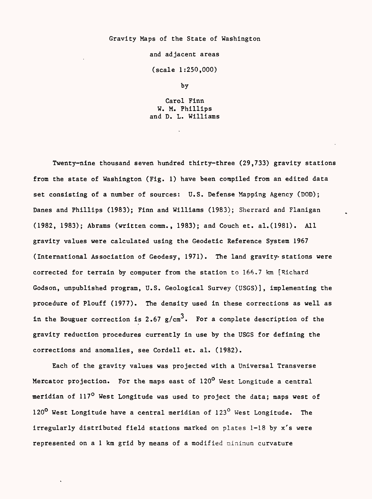## Gravity Maps of the State of Washington

and adjacent areas

(scale 1:250,000)

by

Carol Finn W. M. Phillips and D. L. Williams

Twenty-nine thousand seven hundred thirty-three (29,733) gravity stations from the state of Washington (Fig. 1) have been compiled from an edited data set consisting of a number of sources: U.S. Defense Mapping Agency (DOD); Danes and Phillips (1983); Finn and Williams (1983); Sherrard and Flanigan (1982, 1983); Abrams (written comm., 1983); and Couch et. al.(1981). All gravity values were calculated using the Geodetic Reference System 1967 (International Association of Geodesy, 1971). The land gravity-stations were corrected for terrain by computer from the station to 166.7 km [Richard Godson, unpublished program, U.S. Geological Survey (USGS)], implementing the procedure of Plouff (1977). The density used in these corrections as well as in the Bouguer correction is 2.67 g/cm<sup>3</sup>. For a complete description of the gravity reduction procedures currently in use by the USGS for defining the corrections and anomalies, see Cordell et. al. (1982).

Each of the gravity values was projected with a Universal Transverse Mercator projection. For the maps east of 120° West Longitude a central meridian of 117<sup>0</sup> West Longitude was used to project the data; maps west of 120<sup>0</sup> West Longitude have a central meridian of 123<sup>0</sup> West Longitude. The irregularly distributed field stations marked on plates 1-18 by x's were represented on a 1 km grid by means of a modified minimum curvature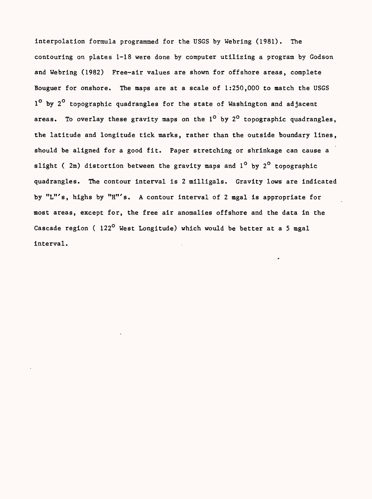interpolation formula programmed for the USGS by Webring (1981). The contouring on plates 1-18 were done by computer utilizing a program by Godson and Webring (1982) Free-air values are shown for offshore areas, complete Bouguer for onshore. The maps are at a scale of 1:250,000 to match the USGS 1<sup>o</sup> by 2<sup>o</sup> topographic quadrangles for the state of Washington and adjacent areas. To overlay these gravity maps on the  $1^{\circ}$  by  $2^{\circ}$  topographic quadrangles, the latitude and longitude tick marks, rather than the outside boundary lines, should be aligned for a good fit. Paper stretching or shrinkage can cause a slight ( $2m$ ) distortion between the gravity maps and  $1^0$  by  $2^0$  topographic quadrangles. The contour interval is 2 milligals. Gravity lows are indicated by "L"'s, highs by "H"'s. A contour interval of 2 mgal is appropriate for most areas, except for, the free air anomalies offshore and the data in the Cascade region ( $122^{\circ}$  West Longitude) which would be better at a 5 mgal interval.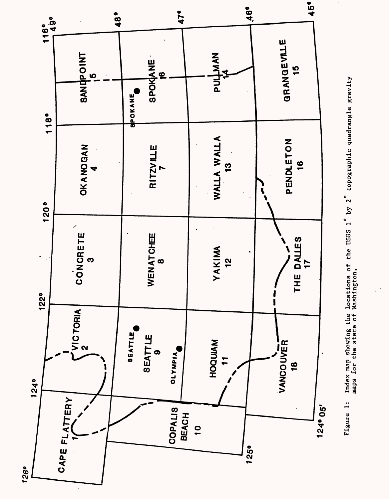

Figure 1: Index map showing the locations of the USGS 1° by 2 topographic quadrangle gravity Index map showing the locations of the USGS  $1^{\circ}$  by  $2^{\circ}$  topographic quadrangle gravity maps for the state of Washington. maps for the state of Washington.Figure 1:

**126°**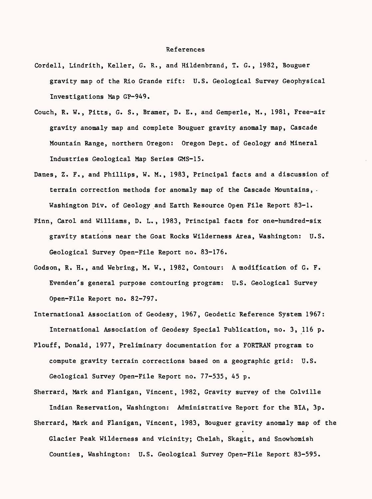## References

- Cordell, Lindrith, Keller, G. R., and Hildenbrand, T. G., 1982, Bouguer gravity map of the Rio Grande rift: U.S. Geological Survey Geophysical Investigations Map GP-949.
- Couch, R. W., Pitts, G. S., Bramer, D. E., and Gemperle, M., 1981, Free-air gravity anomaly map and complete Bouguer gravity anomaly map, Cascade Mountain Range, northern Oregon: Oregon Dept. of Geology and Mineral Industries Geological Map Series GMS-15.
- Danes, Z. F., and Phillips, W. M., 1983, Principal facts and a discussion of terrain correction methods for anomaly map of the Cascade Mountains, - Washington Div. of Geology and Earth Resource Open File Report 83-1.
- Finn, Carol and Williams, D. L., 1983, Principal facts for one-hundred-six gravity stations near the Goat Rocks Wilderness Area, Washington: U.S. Geological Survey Open-File Report no. 83-176.
- Godson, R. H., and Webring, M. W., 1982, Contour: A modification of G. F. Evenden's general purpose contouring program: U.S. Geological Survey Open-File Report no. 82-797.

International Association of Geodesy, 1967, Geodetic Reference System 1967: International Association of Geodesy Special Publication, no. 3, 116 p.

Plouff, Donald, 1977, Preliminary documentation for a FORTRAN program to compute gravity terrain corrections based on a geographic grid: U.S. Geological Survey Open-File Report no. 77-535, 45 p.

Sherrard, Mark and Flanigan, Vincent, 1982, Gravity survey of the Colville Indian Reservation, Washington: Administrative Report for the BIA, 3p. Sherrard, Mark and Flanigan, Vincent, 1983, Bouguer gravity anomaly map of the Glacier Peak Wilderness and vicinity; Chelah, Skagit, and Snowhomish Counties, Washington: U.S. Geological Survey Open-File Report 83-595.